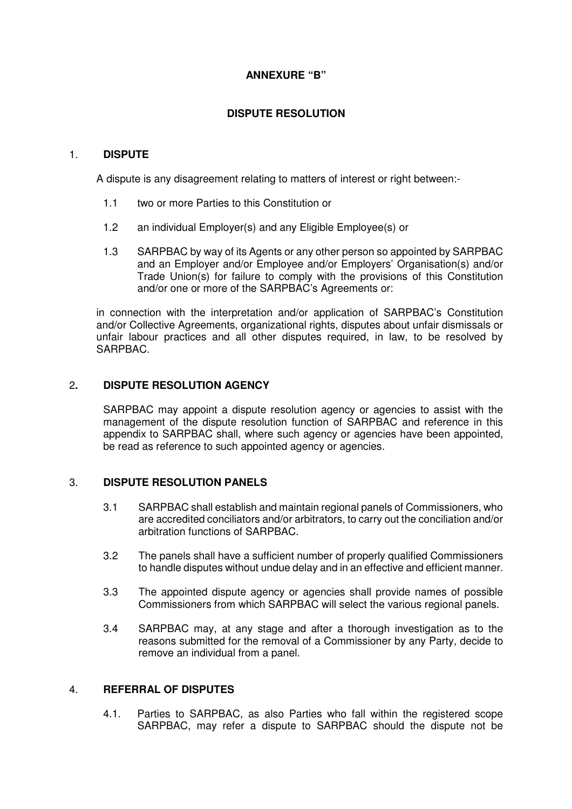# **ANNEXURE "B"**

# **DISPUTE RESOLUTION**

## 1. **DISPUTE**

A dispute is any disagreement relating to matters of interest or right between:-

- 1.1 two or more Parties to this Constitution or
- 1.2 an individual Employer(s) and any Eligible Employee(s) or
- 1.3 SARPBAC by way of its Agents or any other person so appointed by SARPBAC and an Employer and/or Employee and/or Employers' Organisation(s) and/or Trade Union(s) for failure to comply with the provisions of this Constitution and/or one or more of the SARPBAC's Agreements or:

in connection with the interpretation and/or application of SARPBAC's Constitution and/or Collective Agreements, organizational rights, disputes about unfair dismissals or unfair labour practices and all other disputes required, in law, to be resolved by SARPBAC.

## 2**. DISPUTE RESOLUTION AGENCY**

SARPBAC may appoint a dispute resolution agency or agencies to assist with the management of the dispute resolution function of SARPBAC and reference in this appendix to SARPBAC shall, where such agency or agencies have been appointed, be read as reference to such appointed agency or agencies.

## 3. **DISPUTE RESOLUTION PANELS**

- 3.1 SARPBAC shall establish and maintain regional panels of Commissioners, who are accredited conciliators and/or arbitrators, to carry out the conciliation and/or arbitration functions of SARPBAC.
- 3.2 The panels shall have a sufficient number of properly qualified Commissioners to handle disputes without undue delay and in an effective and efficient manner.
- 3.3 The appointed dispute agency or agencies shall provide names of possible Commissioners from which SARPBAC will select the various regional panels.
- 3.4 SARPBAC may, at any stage and after a thorough investigation as to the reasons submitted for the removal of a Commissioner by any Party, decide to remove an individual from a panel.

## 4. **REFERRAL OF DISPUTES**

4.1. Parties to SARPBAC, as also Parties who fall within the registered scope SARPBAC, may refer a dispute to SARPBAC should the dispute not be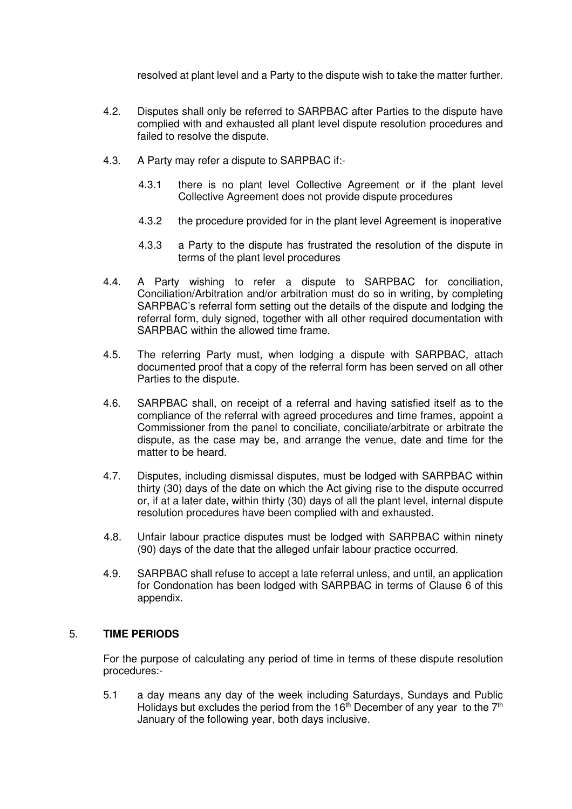resolved at plant level and a Party to the dispute wish to take the matter further.

- 4.2. Disputes shall only be referred to SARPBAC after Parties to the dispute have complied with and exhausted all plant level dispute resolution procedures and failed to resolve the dispute.
- 4.3. A Party may refer a dispute to SARPBAC if:-
	- 4.3.1 there is no plant level Collective Agreement or if the plant level Collective Agreement does not provide dispute procedures
	- 4.3.2 the procedure provided for in the plant level Agreement is inoperative
	- 4.3.3 a Party to the dispute has frustrated the resolution of the dispute in terms of the plant level procedures
- 4.4. A Party wishing to refer a dispute to SARPBAC for conciliation, Conciliation/Arbitration and/or arbitration must do so in writing, by completing SARPBAC's referral form setting out the details of the dispute and lodging the referral form, duly signed, together with all other required documentation with SARPBAC within the allowed time frame.
- 4.5. The referring Party must, when lodging a dispute with SARPBAC, attach documented proof that a copy of the referral form has been served on all other Parties to the dispute.
- 4.6. SARPBAC shall, on receipt of a referral and having satisfied itself as to the compliance of the referral with agreed procedures and time frames, appoint a Commissioner from the panel to conciliate, conciliate/arbitrate or arbitrate the dispute, as the case may be, and arrange the venue, date and time for the matter to be heard.
- 4.7. Disputes, including dismissal disputes, must be lodged with SARPBAC within thirty (30) days of the date on which the Act giving rise to the dispute occurred or, if at a later date, within thirty (30) days of all the plant level, internal dispute resolution procedures have been complied with and exhausted.
- 4.8. Unfair labour practice disputes must be lodged with SARPBAC within ninety (90) days of the date that the alleged unfair labour practice occurred.
- 4.9. SARPBAC shall refuse to accept a late referral unless, and until, an application for Condonation has been lodged with SARPBAC in terms of Clause 6 of this appendix.

## 5. **TIME PERIODS**

For the purpose of calculating any period of time in terms of these dispute resolution procedures:-

5.1 a day means any day of the week including Saturdays, Sundays and Public Holidays but excludes the period from the  $16<sup>th</sup>$  December of any year to the  $7<sup>th</sup>$ January of the following year, both days inclusive.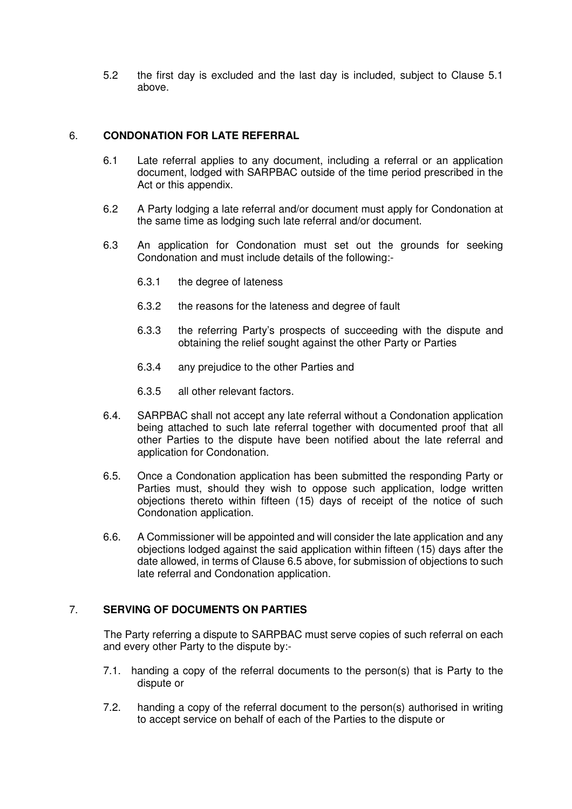5.2 the first day is excluded and the last day is included, subject to Clause 5.1 above.

# 6. **CONDONATION FOR LATE REFERRAL**

- 6.1 Late referral applies to any document, including a referral or an application document, lodged with SARPBAC outside of the time period prescribed in the Act or this appendix.
- 6.2 A Party lodging a late referral and/or document must apply for Condonation at the same time as lodging such late referral and/or document.
- 6.3 An application for Condonation must set out the grounds for seeking Condonation and must include details of the following:-
	- 6.3.1 the degree of lateness
	- 6.3.2 the reasons for the lateness and degree of fault
	- 6.3.3 the referring Party's prospects of succeeding with the dispute and obtaining the relief sought against the other Party or Parties
	- 6.3.4 any prejudice to the other Parties and
	- 6.3.5 all other relevant factors.
- 6.4. SARPBAC shall not accept any late referral without a Condonation application being attached to such late referral together with documented proof that all other Parties to the dispute have been notified about the late referral and application for Condonation.
- 6.5. Once a Condonation application has been submitted the responding Party or Parties must, should they wish to oppose such application, lodge written objections thereto within fifteen (15) days of receipt of the notice of such Condonation application.
- 6.6. A Commissioner will be appointed and will consider the late application and any objections lodged against the said application within fifteen (15) days after the date allowed, in terms of Clause 6.5 above, for submission of objections to such late referral and Condonation application.

## 7. **SERVING OF DOCUMENTS ON PARTIES**

The Party referring a dispute to SARPBAC must serve copies of such referral on each and every other Party to the dispute by:-

- 7.1. handing a copy of the referral documents to the person(s) that is Party to the dispute or
- 7.2. handing a copy of the referral document to the person(s) authorised in writing to accept service on behalf of each of the Parties to the dispute or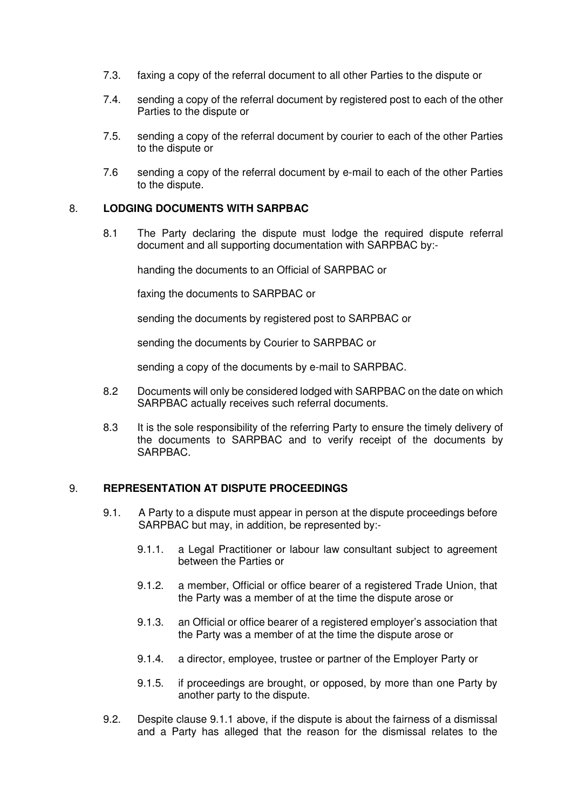- 7.3. faxing a copy of the referral document to all other Parties to the dispute or
- 7.4. sending a copy of the referral document by registered post to each of the other Parties to the dispute or
- 7.5. sending a copy of the referral document by courier to each of the other Parties to the dispute or
- 7.6 sending a copy of the referral document by e-mail to each of the other Parties to the dispute.

#### 8. **LODGING DOCUMENTS WITH SARPBAC**

8.1 The Party declaring the dispute must lodge the required dispute referral document and all supporting documentation with SARPBAC by:-

handing the documents to an Official of SARPBAC or

faxing the documents to SARPBAC or

sending the documents by registered post to SARPBAC or

sending the documents by Courier to SARPBAC or

sending a copy of the documents by e-mail to SARPBAC.

- 8.2 Documents will only be considered lodged with SARPBAC on the date on which SARPBAC actually receives such referral documents.
- 8.3 It is the sole responsibility of the referring Party to ensure the timely delivery of the documents to SARPBAC and to verify receipt of the documents by SARPBAC.

## 9. **REPRESENTATION AT DISPUTE PROCEEDINGS**

- 9.1. A Party to a dispute must appear in person at the dispute proceedings before SARPBAC but may, in addition, be represented by:-
	- 9.1.1. a Legal Practitioner or labour law consultant subject to agreement between the Parties or
	- 9.1.2. a member, Official or office bearer of a registered Trade Union, that the Party was a member of at the time the dispute arose or
	- 9.1.3. an Official or office bearer of a registered employer's association that the Party was a member of at the time the dispute arose or
	- 9.1.4. a director, employee, trustee or partner of the Employer Party or
	- 9.1.5. if proceedings are brought, or opposed, by more than one Party by another party to the dispute.
- 9.2. Despite clause 9.1.1 above, if the dispute is about the fairness of a dismissal and a Party has alleged that the reason for the dismissal relates to the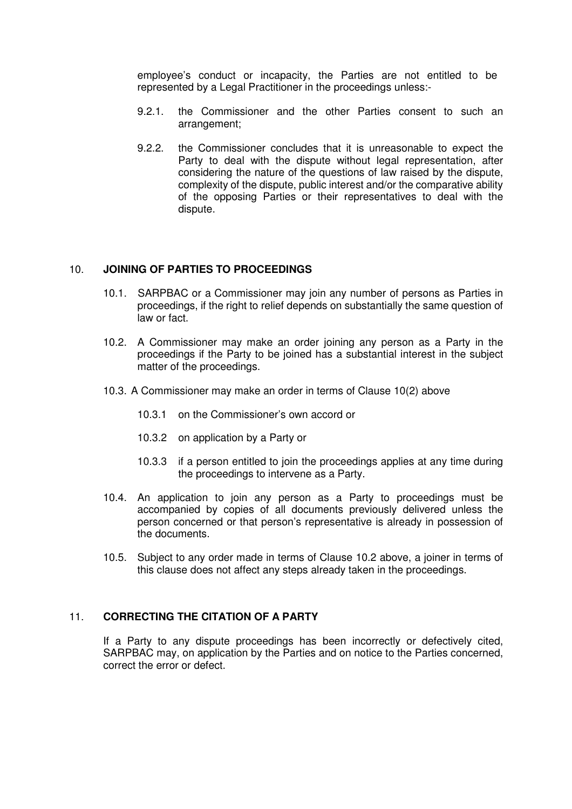employee's conduct or incapacity, the Parties are not entitled to be represented by a Legal Practitioner in the proceedings unless:-

- 9.2.1. the Commissioner and the other Parties consent to such an arrangement;
- 9.2.2. the Commissioner concludes that it is unreasonable to expect the Party to deal with the dispute without legal representation, after considering the nature of the questions of law raised by the dispute, complexity of the dispute, public interest and/or the comparative ability of the opposing Parties or their representatives to deal with the dispute.

#### 10. **JOINING OF PARTIES TO PROCEEDINGS**

- 10.1. SARPBAC or a Commissioner may join any number of persons as Parties in proceedings, if the right to relief depends on substantially the same question of law or fact.
- 10.2. A Commissioner may make an order joining any person as a Party in the proceedings if the Party to be joined has a substantial interest in the subject matter of the proceedings.
- 10.3. A Commissioner may make an order in terms of Clause 10(2) above
	- 10.3.1 on the Commissioner's own accord or
	- 10.3.2 on application by a Party or
	- 10.3.3 if a person entitled to join the proceedings applies at any time during the proceedings to intervene as a Party.
- 10.4. An application to join any person as a Party to proceedings must be accompanied by copies of all documents previously delivered unless the person concerned or that person's representative is already in possession of the documents.
- 10.5. Subject to any order made in terms of Clause 10.2 above, a joiner in terms of this clause does not affect any steps already taken in the proceedings.

## 11. **CORRECTING THE CITATION OF A PARTY**

If a Party to any dispute proceedings has been incorrectly or defectively cited, SARPBAC may, on application by the Parties and on notice to the Parties concerned, correct the error or defect.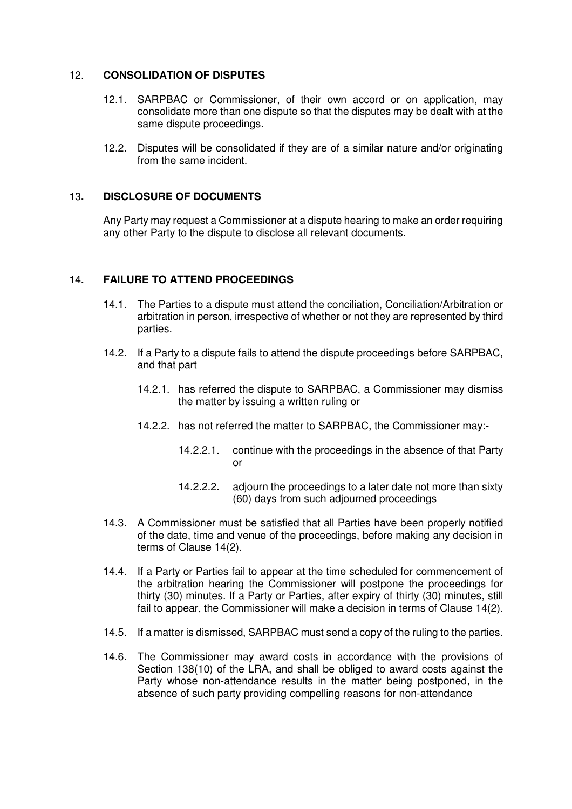#### 12. **CONSOLIDATION OF DISPUTES**

- 12.1. SARPBAC or Commissioner, of their own accord or on application, may consolidate more than one dispute so that the disputes may be dealt with at the same dispute proceedings.
- 12.2. Disputes will be consolidated if they are of a similar nature and/or originating from the same incident.

# 13**. DISCLOSURE OF DOCUMENTS**

Any Party may request a Commissioner at a dispute hearing to make an order requiring any other Party to the dispute to disclose all relevant documents.

#### 14**. FAILURE TO ATTEND PROCEEDINGS**

- 14.1. The Parties to a dispute must attend the conciliation, Conciliation/Arbitration or arbitration in person, irrespective of whether or not they are represented by third parties.
- 14.2. If a Party to a dispute fails to attend the dispute proceedings before SARPBAC, and that part
	- 14.2.1. has referred the dispute to SARPBAC, a Commissioner may dismiss the matter by issuing a written ruling or
	- 14.2.2. has not referred the matter to SARPBAC, the Commissioner may:-
		- 14.2.2.1. continue with the proceedings in the absence of that Party or
		- 14.2.2.2. adjourn the proceedings to a later date not more than sixty (60) days from such adjourned proceedings
- 14.3. A Commissioner must be satisfied that all Parties have been properly notified of the date, time and venue of the proceedings, before making any decision in terms of Clause 14(2).
- 14.4. If a Party or Parties fail to appear at the time scheduled for commencement of the arbitration hearing the Commissioner will postpone the proceedings for thirty (30) minutes. If a Party or Parties, after expiry of thirty (30) minutes, still fail to appear, the Commissioner will make a decision in terms of Clause 14(2).
- 14.5. If a matter is dismissed, SARPBAC must send a copy of the ruling to the parties.
- 14.6. The Commissioner may award costs in accordance with the provisions of Section 138(10) of the LRA, and shall be obliged to award costs against the Party whose non-attendance results in the matter being postponed, in the absence of such party providing compelling reasons for non-attendance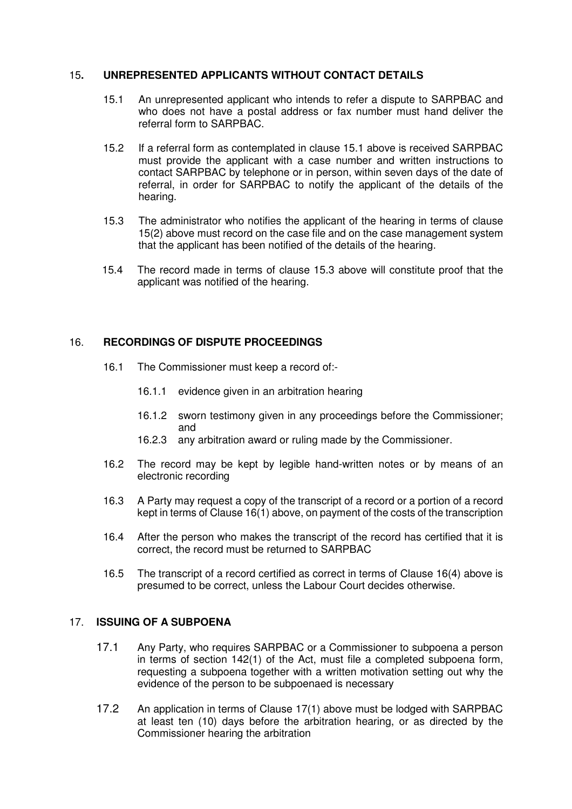## 15**. UNREPRESENTED APPLICANTS WITHOUT CONTACT DETAILS**

- 15.1 An unrepresented applicant who intends to refer a dispute to SARPBAC and who does not have a postal address or fax number must hand deliver the referral form to SARPBAC.
- 15.2 If a referral form as contemplated in clause 15.1 above is received SARPBAC must provide the applicant with a case number and written instructions to contact SARPBAC by telephone or in person, within seven days of the date of referral, in order for SARPBAC to notify the applicant of the details of the hearing.
- 15.3 The administrator who notifies the applicant of the hearing in terms of clause 15(2) above must record on the case file and on the case management system that the applicant has been notified of the details of the hearing.
- 15.4 The record made in terms of clause 15.3 above will constitute proof that the applicant was notified of the hearing.

# 16. **RECORDINGS OF DISPUTE PROCEEDINGS**

- 16.1 The Commissioner must keep a record of:-
	- 16.1.1 evidence given in an arbitration hearing
	- 16.1.2 sworn testimony given in any proceedings before the Commissioner; and
	- 16.2.3 any arbitration award or ruling made by the Commissioner.
- 16.2 The record may be kept by legible hand-written notes or by means of an electronic recording
- 16.3 A Party may request a copy of the transcript of a record or a portion of a record kept in terms of Clause 16(1) above, on payment of the costs of the transcription
- 16.4 After the person who makes the transcript of the record has certified that it is correct, the record must be returned to SARPBAC
- 16.5 The transcript of a record certified as correct in terms of Clause 16(4) above is presumed to be correct, unless the Labour Court decides otherwise.

## 17. **ISSUING OF A SUBPOENA**

- 17.1 Any Party, who requires SARPBAC or a Commissioner to subpoena a person in terms of section 142(1) of the Act, must file a completed subpoena form, requesting a subpoena together with a written motivation setting out why the evidence of the person to be subpoenaed is necessary
- 17.2 An application in terms of Clause 17(1) above must be lodged with SARPBAC at least ten (10) days before the arbitration hearing, or as directed by the Commissioner hearing the arbitration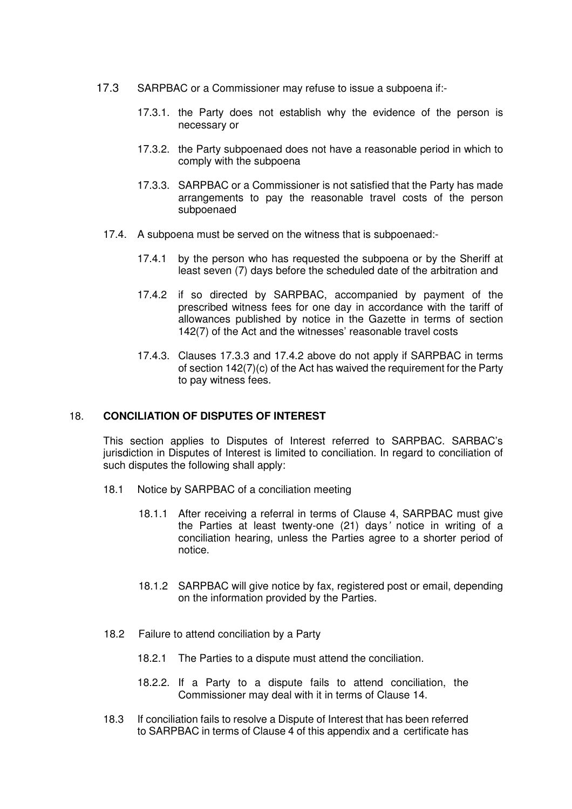- 17.3 SARPBAC or a Commissioner may refuse to issue a subpoena if:-
	- 17.3.1. the Party does not establish why the evidence of the person is necessary or
	- 17.3.2. the Party subpoenaed does not have a reasonable period in which to comply with the subpoena
	- 17.3.3. SARPBAC or a Commissioner is not satisfied that the Party has made arrangements to pay the reasonable travel costs of the person subpoenaed
	- 17.4. A subpoena must be served on the witness that is subpoenaed:-
		- 17.4.1 by the person who has requested the subpoena or by the Sheriff at least seven (7) days before the scheduled date of the arbitration and
		- 17.4.2 if so directed by SARPBAC, accompanied by payment of the prescribed witness fees for one day in accordance with the tariff of allowances published by notice in the Gazette in terms of section 142(7) of the Act and the witnesses' reasonable travel costs
		- 17.4.3. Clauses 17.3.3 and 17.4.2 above do not apply if SARPBAC in terms of section 142(7)(c) of the Act has waived the requirement for the Party to pay witness fees.

## 18. **CONCILIATION OF DISPUTES OF INTEREST**

This section applies to Disputes of Interest referred to SARPBAC. SARBAC's jurisdiction in Disputes of Interest is limited to conciliation. In regard to conciliation of such disputes the following shall apply:

- 18.1 Notice by SARPBAC of a conciliation meeting
	- 18.1.1 After receiving a referral in terms of Clause 4, SARPBAC must give the Parties at least twenty-one (21) days' notice in writing of a conciliation hearing, unless the Parties agree to a shorter period of notice.
	- 18.1.2 SARPBAC will give notice by fax, registered post or email, depending on the information provided by the Parties.
- 18.2 Failure to attend conciliation by a Party
	- 18.2.1 The Parties to a dispute must attend the conciliation.
	- 18.2.2. If a Party to a dispute fails to attend conciliation, the Commissioner may deal with it in terms of Clause 14.
- 18.3 If conciliation fails to resolve a Dispute of Interest that has been referred to SARPBAC in terms of Clause 4 of this appendix and a certificate has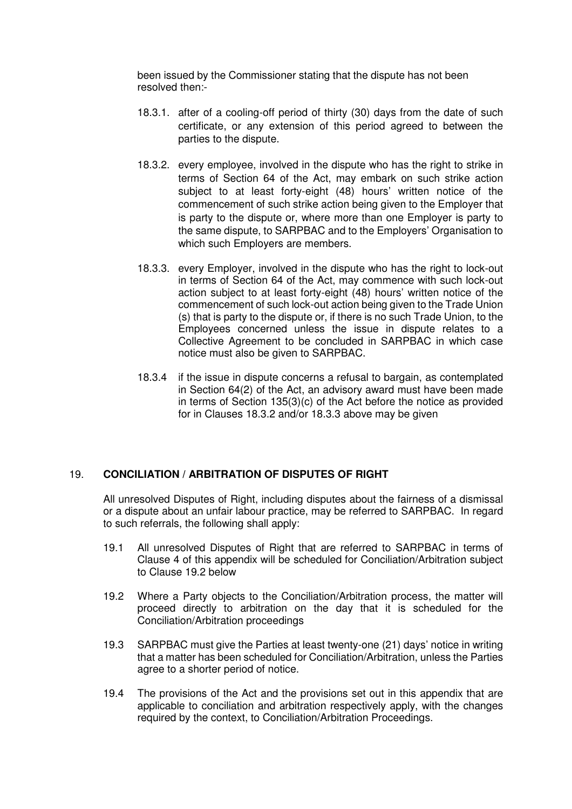been issued by the Commissioner stating that the dispute has not been resolved then:-

- 18.3.1. after of a cooling-off period of thirty (30) days from the date of such certificate, or any extension of this period agreed to between the parties to the dispute.
- 18.3.2. every employee, involved in the dispute who has the right to strike in terms of Section 64 of the Act, may embark on such strike action subject to at least forty-eight (48) hours' written notice of the commencement of such strike action being given to the Employer that is party to the dispute or, where more than one Employer is party to the same dispute, to SARPBAC and to the Employers' Organisation to which such Employers are members.
- 18.3.3. every Employer, involved in the dispute who has the right to lock-out in terms of Section 64 of the Act, may commence with such lock-out action subject to at least forty-eight (48) hours' written notice of the commencement of such lock-out action being given to the Trade Union (s) that is party to the dispute or, if there is no such Trade Union, to the Employees concerned unless the issue in dispute relates to a Collective Agreement to be concluded in SARPBAC in which case notice must also be given to SARPBAC.
- 18.3.4 if the issue in dispute concerns a refusal to bargain, as contemplated in Section 64(2) of the Act, an advisory award must have been made in terms of Section 135(3)(c) of the Act before the notice as provided for in Clauses 18.3.2 and/or 18.3.3 above may be given

# 19. **CONCILIATION / ARBITRATION OF DISPUTES OF RIGHT**

All unresolved Disputes of Right, including disputes about the fairness of a dismissal or a dispute about an unfair labour practice, may be referred to SARPBAC. In regard to such referrals, the following shall apply:

- 19.1 All unresolved Disputes of Right that are referred to SARPBAC in terms of Clause 4 of this appendix will be scheduled for Conciliation/Arbitration subject to Clause 19.2 below
- 19.2 Where a Party objects to the Conciliation/Arbitration process, the matter will proceed directly to arbitration on the day that it is scheduled for the Conciliation/Arbitration proceedings
- 19.3 SARPBAC must give the Parties at least twenty-one (21) days' notice in writing that a matter has been scheduled for Conciliation/Arbitration, unless the Parties agree to a shorter period of notice.
- 19.4 The provisions of the Act and the provisions set out in this appendix that are applicable to conciliation and arbitration respectively apply, with the changes required by the context, to Conciliation/Arbitration Proceedings.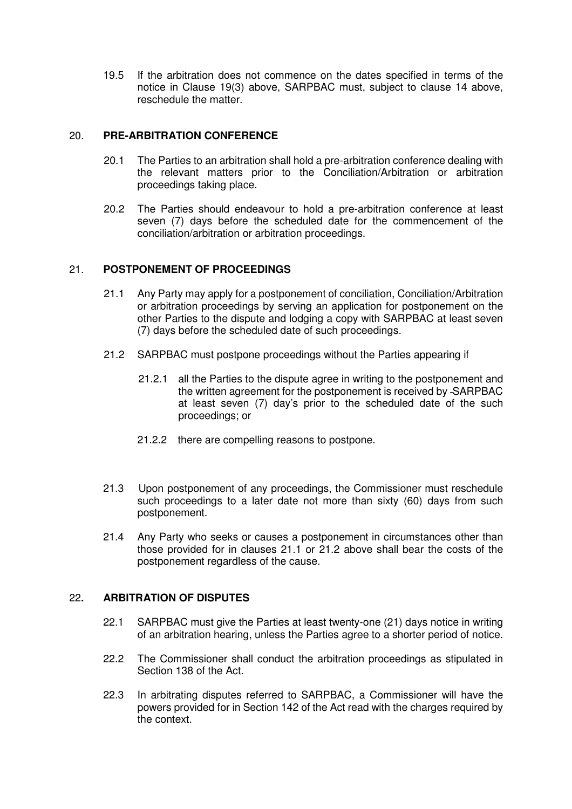19.5 If the arbitration does not commence on the dates specified in terms of the notice in Clause 19(3) above, SARPBAC must, subject to clause 14 above, reschedule the matter.

## 20. **PRE-ARBITRATION CONFERENCE**

- 20.1 The Parties to an arbitration shall hold a pre-arbitration conference dealing with the relevant matters prior to the Conciliation/Arbitration or arbitration proceedings taking place.
- 20.2 The Parties should endeavour to hold a pre-arbitration conference at least seven (7) days before the scheduled date for the commencement of the conciliation/arbitration or arbitration proceedings.

## 21. **POSTPONEMENT OF PROCEEDINGS**

- 21.1 Any Party may apply for a postponement of conciliation, Conciliation/Arbitration or arbitration proceedings by serving an application for postponement on the other Parties to the dispute and lodging a copy with SARPBAC at least seven (7) days before the scheduled date of such proceedings.
- 21.2 SARPBAC must postpone proceedings without the Parties appearing if
	- 21.2.1 all the Parties to the dispute agree in writing to the postponement and the written agreement for the postponement is received by SARPBAC at least seven (7) day's prior to the scheduled date of the such proceedings; or
	- 21.2.2 there are compelling reasons to postpone.
- 21.3 Upon postponement of any proceedings, the Commissioner must reschedule such proceedings to a later date not more than sixty (60) days from such postponement.
- 21.4 Any Party who seeks or causes a postponement in circumstances other than those provided for in clauses 21.1 or 21.2 above shall bear the costs of the postponement regardless of the cause.

## 22**. ARBITRATION OF DISPUTES**

- 22.1 SARPBAC must give the Parties at least twenty-one (21) days notice in writing of an arbitration hearing, unless the Parties agree to a shorter period of notice.
- 22.2 The Commissioner shall conduct the arbitration proceedings as stipulated in Section 138 of the Act.
- 22.3 In arbitrating disputes referred to SARPBAC, a Commissioner will have the powers provided for in Section 142 of the Act read with the charges required by the context.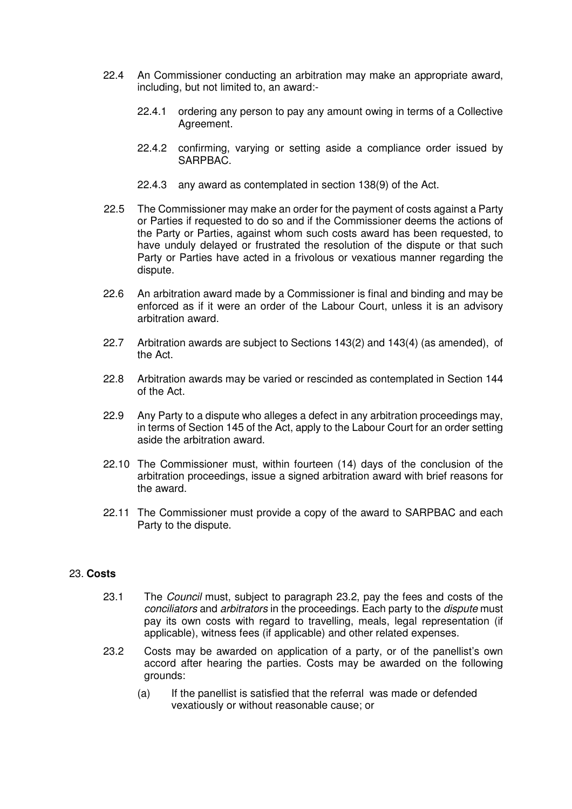- 22.4 An Commissioner conducting an arbitration may make an appropriate award, including, but not limited to, an award:-
	- 22.4.1 ordering any person to pay any amount owing in terms of a Collective Agreement.
	- 22.4.2 confirming, varying or setting aside a compliance order issued by SARPBAC.
	- 22.4.3 any award as contemplated in section 138(9) of the Act.
- 22.5 The Commissioner may make an order for the payment of costs against a Party or Parties if requested to do so and if the Commissioner deems the actions of the Party or Parties, against whom such costs award has been requested, to have unduly delayed or frustrated the resolution of the dispute or that such Party or Parties have acted in a frivolous or vexatious manner regarding the dispute.
- 22.6 An arbitration award made by a Commissioner is final and binding and may be enforced as if it were an order of the Labour Court, unless it is an advisory arbitration award.
- 22.7 Arbitration awards are subject to Sections 143(2) and 143(4) (as amended), of the Act.
- 22.8 Arbitration awards may be varied or rescinded as contemplated in Section 144 of the Act.
- 22.9 Any Party to a dispute who alleges a defect in any arbitration proceedings may, in terms of Section 145 of the Act, apply to the Labour Court for an order setting aside the arbitration award.
- 22.10 The Commissioner must, within fourteen (14) days of the conclusion of the arbitration proceedings, issue a signed arbitration award with brief reasons for the award.
- 22.11 The Commissioner must provide a copy of the award to SARPBAC and each Party to the dispute.

## 23. **Costs**

- 23.1 The *Council* must, subject to paragraph 23.2, pay the fees and costs of the conciliators and arbitrators in the proceedings. Each party to the dispute must pay its own costs with regard to travelling, meals, legal representation (if applicable), witness fees (if applicable) and other related expenses.
- 23.2 Costs may be awarded on application of a party, or of the panellist's own accord after hearing the parties. Costs may be awarded on the following grounds:
	- (a) If the panellist is satisfied that the referral was made or defended vexatiously or without reasonable cause; or